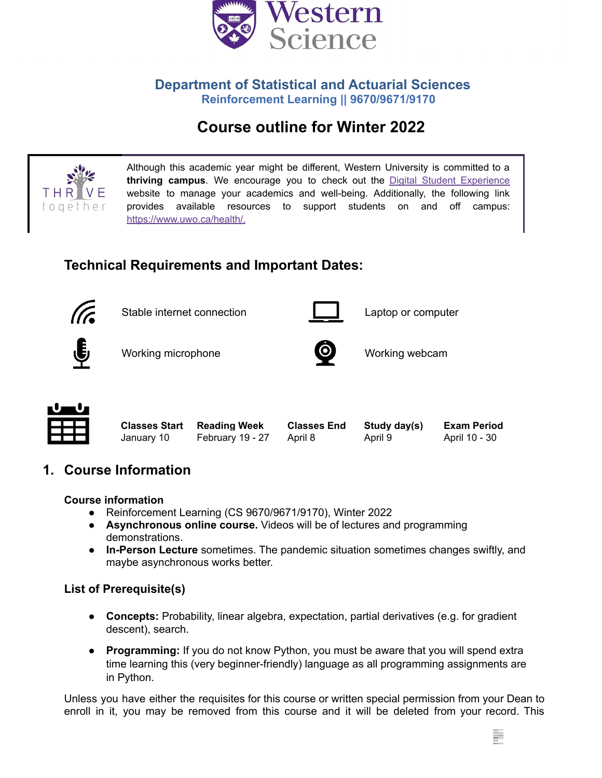

### **Department of Statistical and Actuarial Sciences Reinforcement Learning || 9670/9671/9170**

# **Course outline for Winter 2022**



Although this academic year might be different, Western University is committed to a **thriving campus**. We encourage you to check out the Digital Student [Experience](https://www.uwo.ca/se/digital/) website to manage your academics and well-being. Additionally, the following link provides available resources to support students on and off campus: <https://www.uwo.ca/health/>.

## **Technical Requirements and Important Dates:**



Stable internet connection **Laptop** computer





Working microphone **Working webcam** 



## **1. Course Information**

**Course information**

- Reinforcement Learning (CS 9670/9671/9170), Winter 2022
- **Asynchronous online course.** Videos will be of lectures and programming demonstrations.
- **In-Person Lecture** sometimes. The pandemic situation sometimes changes swiftly, and maybe asynchronous works better.

#### **List of Prerequisite(s)**

- **● Concepts:** Probability, linear algebra, expectation, partial derivatives (e.g. for gradient descent), search.
- **● Programming:** If you do not know Python, you must be aware that you will spend extra time learning this (very beginner-friendly) language as all programming assignments are in Python.

Unless you have either the requisites for this course or written special permission from your Dean to enroll in it, you may be removed from this course and it will be deleted from your record. This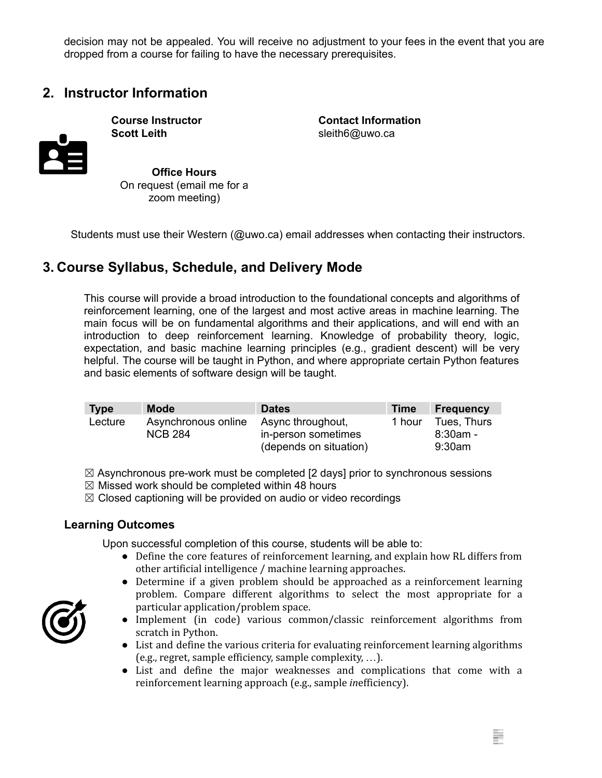decision may not be appealed. You will receive no adjustment to your fees in the event that you are dropped from a course for failing to have the necessary prerequisites.

## **2. Instructor Information**



**Scott Leith** sleith6@uwo.ca

**Course Instructor Contact Information**

**Office Hours** On request (email me for a zoom meeting)

Students must use their Western (@uwo.ca) email addresses when contacting their instructors.

## **3. Course Syllabus, Schedule, and Delivery Mode**

This course will provide a broad introduction to the foundational concepts and algorithms of reinforcement learning, one of the largest and most active areas in machine learning. The main focus will be on fundamental algorithms and their applications, and will end with an introduction to deep reinforcement learning. Knowledge of probability theory, logic, expectation, and basic machine learning principles (e.g., gradient descent) will be very helpful. The course will be taught in Python, and where appropriate certain Python features and basic elements of software design will be taught.

| <b>Type</b> | <b>Mode</b>                           | <b>Dates</b>                                                       | <b>Time</b> | <b>Frequency</b>                        |
|-------------|---------------------------------------|--------------------------------------------------------------------|-------------|-----------------------------------------|
| Lecture     | Asynchronous online<br><b>NCB 284</b> | Async throughout,<br>in-person sometimes<br>(depends on situation) | 1 hour      | Tues, Thurs<br>$8:30$ am -<br>$9:30$ am |

 $\boxtimes$  Asynchronous pre-work must be completed [2 days] prior to synchronous sessions

- $\boxtimes$  Missed work should be completed within 48 hours
- $\boxtimes$  Closed captioning will be provided on audio or video recordings

#### **Learning Outcomes**

Upon successful completion of this course, students will be able to:

- Define the core features of reinforcement learning, and explain how RL differs from other artificial intelligence / machine learning approaches.
- Determine if a given problem should be approached as a reinforcement learning problem. Compare different algorithms to select the most appropriate for a particular application/problem space.
- Implement (in code) various common/classic reinforcement algorithms from scratch in Python.
- List and define the various criteria for evaluating reinforcement learning algorithms (e.g., regret, sample efficiency, sample complexity, …).
- List and define the major weaknesses and complications that come with a reinforcement learning approach (e.g., sample *in*efficiency).

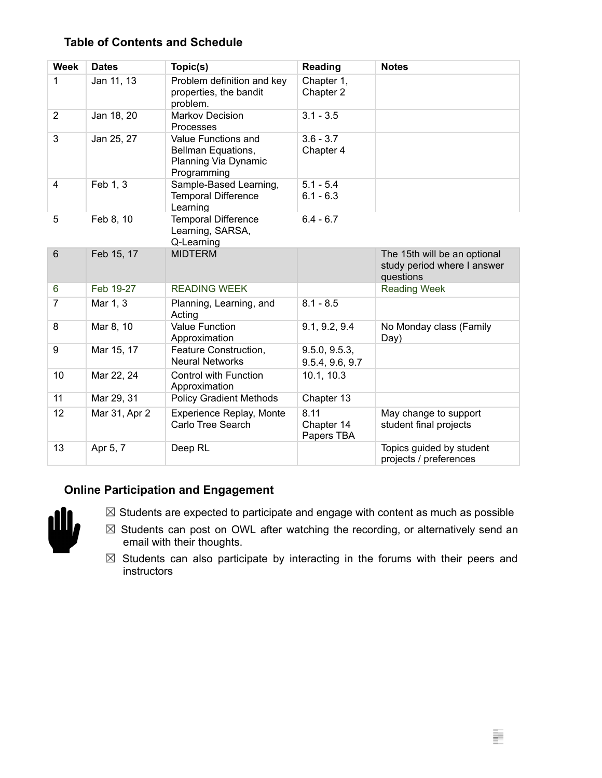#### **Table of Contents and Schedule**

| <b>Week</b>    | <b>Dates</b>  | Topic(s)                                                                         | Reading                          | <b>Notes</b>                                                             |
|----------------|---------------|----------------------------------------------------------------------------------|----------------------------------|--------------------------------------------------------------------------|
| 1              | Jan 11, 13    | Problem definition and key<br>properties, the bandit<br>problem.                 | Chapter 1,<br>Chapter 2          |                                                                          |
| $\overline{2}$ | Jan 18, 20    | <b>Markov Decision</b><br>Processes                                              | $3.1 - 3.5$                      |                                                                          |
| 3              | Jan 25, 27    | Value Functions and<br>Bellman Equations,<br>Planning Via Dynamic<br>Programming | $3.6 - 3.7$<br>Chapter 4         |                                                                          |
| 4              | Feb 1, 3      | Sample-Based Learning,<br><b>Temporal Difference</b><br>Learning                 | $5.1 - 5.4$<br>$6.1 - 6.3$       |                                                                          |
| 5              | Feb 8, 10     | <b>Temporal Difference</b><br>Learning, SARSA,<br>Q-Learning                     | $6.4 - 6.7$                      |                                                                          |
| $6\phantom{1}$ | Feb 15, 17    | <b>MIDTERM</b>                                                                   |                                  | The 15th will be an optional<br>study period where I answer<br>questions |
| 6              | Feb 19-27     | <b>READING WEEK</b>                                                              |                                  | <b>Reading Week</b>                                                      |
| $\overline{7}$ | Mar 1, 3      | Planning, Learning, and<br>Acting                                                | $8.1 - 8.5$                      |                                                                          |
| 8              | Mar 8, 10     | <b>Value Function</b><br>Approximation                                           | 9.1, 9.2, 9.4                    | No Monday class (Family<br>Day)                                          |
| 9              | Mar 15, 17    | Feature Construction,<br><b>Neural Networks</b>                                  | 9.5.0, 9.5.3,<br>9.5.4, 9.6, 9.7 |                                                                          |
| 10             | Mar 22, 24    | <b>Control with Function</b><br>Approximation                                    | 10.1, 10.3                       |                                                                          |
| 11             | Mar 29, 31    | <b>Policy Gradient Methods</b>                                                   | Chapter 13                       |                                                                          |
| 12             | Mar 31, Apr 2 | <b>Experience Replay, Monte</b><br>Carlo Tree Search                             | 8.11<br>Chapter 14<br>Papers TBA | May change to support<br>student final projects                          |
| 13             | Apr 5, 7      | Deep RL                                                                          |                                  | Topics guided by student<br>projects / preferences                       |

#### **Online Participation and Engagement**



 $\boxtimes$  Students are expected to participate and engage with content as much as possible

- $\boxtimes$  Students can post on OWL after watching the recording, or alternatively send an email with their thoughts.
- $\boxtimes$  Students can also participate by interacting in the forums with their peers and instructors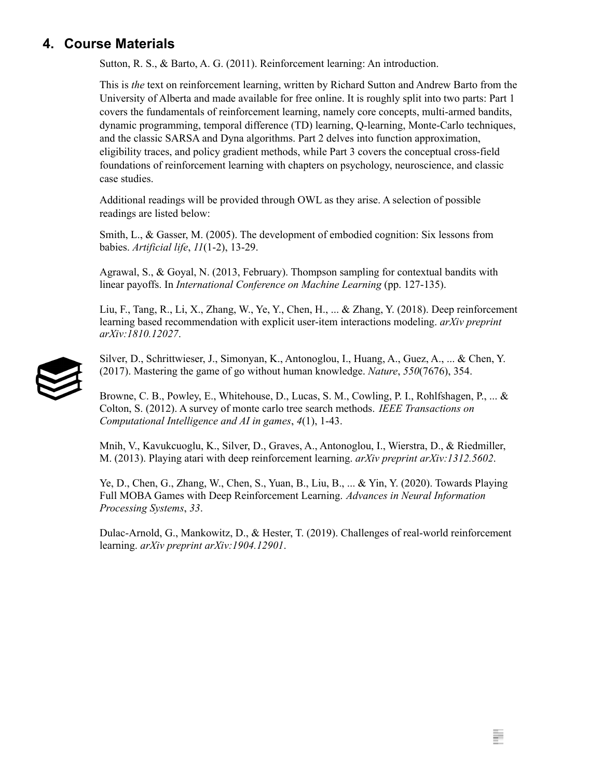## **4. Course Materials**

Sutton, R. S., & Barto, A. G. (2011). Reinforcement learning: An introduction.

This is *the* text on reinforcement learning, written by Richard Sutton and Andrew Barto from the University of Alberta and made available for free online. It is roughly split into two parts: Part 1 covers the fundamentals of reinforcement learning, namely core concepts, multi-armed bandits, dynamic programming, temporal difference (TD) learning, Q-learning, Monte-Carlo techniques, and the classic SARSA and Dyna algorithms. Part 2 delves into function approximation, eligibility traces, and policy gradient methods, while Part 3 covers the conceptual cross-field foundations of reinforcement learning with chapters on psychology, neuroscience, and classic case studies.

Additional readings will be provided through OWL as they arise. A selection of possible readings are listed below:

Smith, L., & Gasser, M. (2005). The development of embodied cognition: Six lessons from babies. *Artificial life*, *11*(1-2), 13-29.

Agrawal, S., & Goyal, N. (2013, February). Thompson sampling for contextual bandits with linear payoffs. In *International Conference on Machine Learning* (pp. 127-135).

Liu, F., Tang, R., Li, X., Zhang, W., Ye, Y., Chen, H., ... & Zhang, Y. (2018). Deep reinforcement learning based recommendation with explicit user-item interactions modeling. *arXiv preprint arXiv:1810.12027*.



Silver, D., Schrittwieser, J., Simonyan, K., Antonoglou, I., Huang, A., Guez, A., ... & Chen, Y. (2017). Mastering the game of go without human knowledge. *Nature*, *550*(7676), 354.

Browne, C. B., Powley, E., Whitehouse, D., Lucas, S. M., Cowling, P. I., Rohlfshagen, P., ... & Colton, S. (2012). A survey of monte carlo tree search methods. *IEEE Transactions on Computational Intelligence and AI in games*, *4*(1), 1-43.

Mnih, V., Kavukcuoglu, K., Silver, D., Graves, A., Antonoglou, I., Wierstra, D., & Riedmiller, M. (2013). Playing atari with deep reinforcement learning. *arXiv preprint arXiv:1312.5602*.

Ye, D., Chen, G., Zhang, W., Chen, S., Yuan, B., Liu, B., ... & Yin, Y. (2020). Towards Playing Full MOBA Games with Deep Reinforcement Learning. *Advances in Neural Information Processing Systems*, *33*.

Dulac-Arnold, G., Mankowitz, D., & Hester, T. (2019). Challenges of real-world reinforcement learning. *arXiv preprint arXiv:1904.12901*.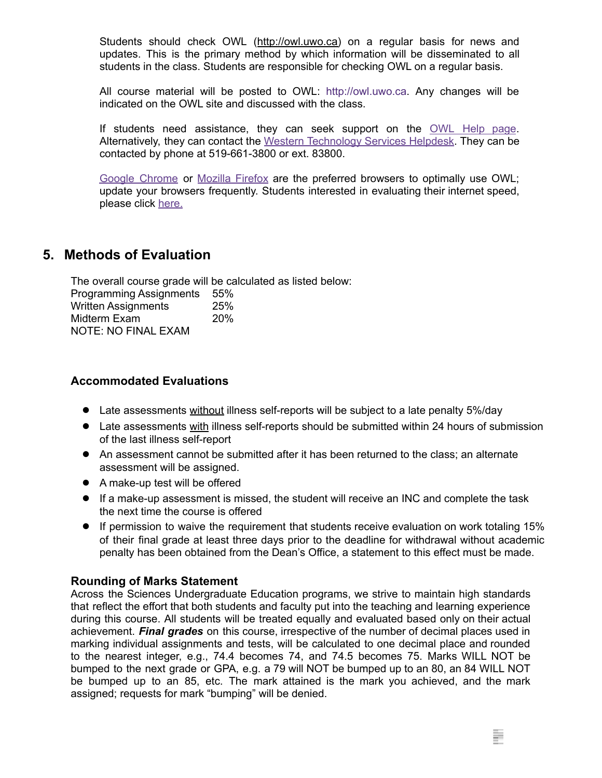Students should check OWL ([http://owl.uwo.ca\)](http://owl.uwo.ca) on a regular basis for news and updates. This is the primary method by which information will be disseminated to all students in the class. Students are responsible for checking OWL on a regular basis.

All course material will be posted to OWL: http://owl.uwo.ca. Any changes will be indicated on the OWL site and discussed with the class.

If students need assistance, they can seek support on the [OWL](https://owlhelp.uwo.ca/students/index.html) Help page. Alternatively, they can contact the Western [Technology](https://wts.uwo.ca/helpdesk/) Services Helpdesk. They can be contacted by phone at 519-661-3800 or ext. 83800.

Google [Chrome](https://www.google.ca/chrome/?brand=CHBD&gclid=CjwKCAjwxLH3BRApEiwAqX9arfg8JaH6fWGASk9bHTkfW_dyBir93A1-TliP-7u1Kguf-WZsoGAPhBoC9NYQAvD_BwE&gclsrc=aw.ds) or [Mozilla](https://www.mozilla.org/en-CA/) Firefox are the preferred browsers to optimally use OWL; update your browsers frequently. Students interested in evaluating their internet speed, please click [here.](https://www.google.com/search?q=internet+speed+test+google&rlz=1C5CHFA_enCA702CA702&oq=internet+speed+test+google&aqs=chrome..69i57j0l7.3608j0j4&sourceid=chrome&ie=UTF-8)

## **5. Methods of Evaluation**

The overall course grade will be calculated as listed below: Programming Assignments 55% Written Assignments 25% Midterm Exam 20% NOTE: NO FINAL EXAM

#### **Accommodated Evaluations**

- **●** Late assessments without illness self-reports will be subject to a late penalty 5%/day
- **●** Late assessments with illness self-reports should be submitted within 24 hours of submission of the last illness self-report
- **●** An assessment cannot be submitted after it has been returned to the class; an alternate assessment will be assigned.
- **●** A make-up test will be offered
- **●** If a make-up assessment is missed, the student will receive an INC and complete the task the next time the course is offered
- **●** If permission to waive the requirement that students receive evaluation on work totaling 15% of their final grade at least three days prior to the deadline for withdrawal without academic penalty has been obtained from the Dean's Office, a statement to this effect must be made.

#### **Rounding of Marks Statement**

Across the Sciences Undergraduate Education programs, we strive to maintain high standards that reflect the effort that both students and faculty put into the teaching and learning experience during this course. All students will be treated equally and evaluated based only on their actual achievement. *Final grades* on this course, irrespective of the number of decimal places used in marking individual assignments and tests, will be calculated to one decimal place and rounded to the nearest integer, e.g., 74.4 becomes 74, and 74.5 becomes 75. Marks WILL NOT be bumped to the next grade or GPA, e.g. a 79 will NOT be bumped up to an 80, an 84 WILL NOT be bumped up to an 85, etc. The mark attained is the mark you achieved, and the mark assigned; requests for mark "bumping" will be denied.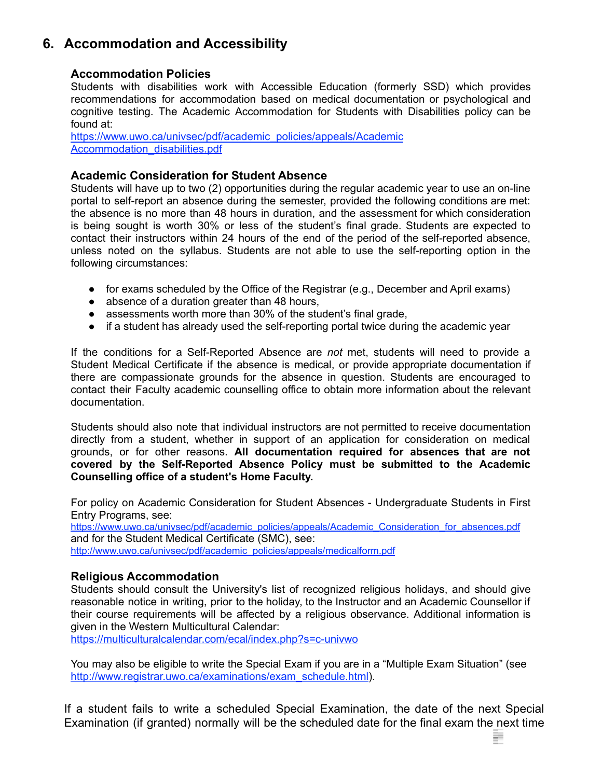## **6. Accommodation and Accessibility**

#### **Accommodation Policies**

Students with disabilities work with Accessible Education (formerly SSD) which provides recommendations for accommodation based on medical documentation or psychological and cognitive testing. The Academic Accommodation for Students with Disabilities policy can be found at:

[https://www.uwo.ca/univsec/pdf/academic\\_policies/appeals/Academic](https://www.uwo.ca/univsec/pdf/academic_policies/appeals/Academic%20Accommodation_disabilities.pdf) Accommodation disabilities.pdf

#### **Academic Consideration for Student Absence**

Students will have up to two (2) opportunities during the regular academic year to use an on-line portal to self-report an absence during the semester, provided the following conditions are met: the absence is no more than 48 hours in duration, and the assessment for which consideration is being sought is worth 30% or less of the student's final grade. Students are expected to contact their instructors within 24 hours of the end of the period of the self-reported absence, unless noted on the syllabus. Students are not able to use the self-reporting option in the following circumstances:

- for exams scheduled by the Office of the Registrar (e.g., December and April exams)
- absence of a duration greater than 48 hours,
- assessments worth more than 30% of the student's final grade,
- if a student has already used the self-reporting portal twice during the academic year

If the conditions for a Self-Reported Absence are *not* met, students will need to provide a Student Medical Certificate if the absence is medical, or provide appropriate documentation if there are compassionate grounds for the absence in question. Students are encouraged to contact their Faculty academic counselling office to obtain more information about the relevant documentation.

Students should also note that individual instructors are not permitted to receive documentation directly from a student, whether in support of an application for consideration on medical grounds, or for other reasons. **All documentation required for absences that are not covered by the Self-Reported Absence Policy must be submitted to the Academic Counselling office of a student's Home Faculty.**

For policy on Academic Consideration for Student Absences - Undergraduate Students in First Entry Programs, see:

[https://www.uwo.ca/univsec/pdf/academic\\_policies/appeals/Academic\\_Consideration\\_for\\_absences.pdf](https://www.uwo.ca/univsec/pdf/academic_policies/appeals/Academic_Consideration_for_absences.pdf) and for the Student Medical Certificate (SMC), see: [http://www.uwo.ca/univsec/pdf/academic\\_policies/appeals/medicalform.pdf](http://www.uwo.ca/univsec/pdf/academic_policies/appeals/medicalform.pdf)

#### **Religious Accommodation**

Students should consult the University's list of recognized religious holidays, and should give reasonable notice in writing, prior to the holiday, to the Instructor and an Academic Counsellor if their course requirements will be affected by a religious observance. Additional information is given in the Western Multicultural Calendar:

<https://multiculturalcalendar.com/ecal/index.php?s=c-univwo>

You may also be eligible to write the Special Exam if you are in a "Multiple Exam Situation" (see [http://www.registrar.uwo.ca/examinations/exam\\_schedule.html](http://www.registrar.uwo.ca/examinations/exam_schedule.html)).

If a student fails to write a scheduled Special Examination, the date of the next Special Examination (if granted) normally will be the scheduled date for the final exam the next time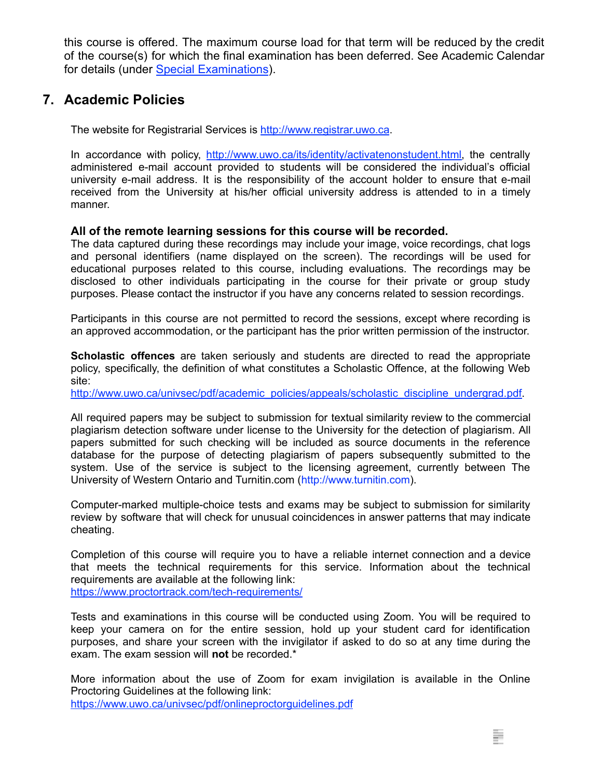this course is offered. The maximum course load for that term will be reduced by the credit of the course(s) for which the final examination has been deferred. See Academic Calendar for details (under [Special Examinations](https://www.westerncalendar.uwo.ca/PolicyPages.cfm?Command=showCategory&PolicyCategoryID=5&SelectedCalendar=Live&ArchiveID=#SubHeading_70)).

## **7. Academic Policies**

The website for Registrarial Services is <http://www.registrar.uwo.ca>.

In accordance with policy, [http://www.uwo.ca/its/identity/activatenonstudent.html,](http://www.uwo.ca/its/identity/activatenonstudent.html) the centrally administered e-mail account provided to students will be considered the individual's official university e-mail address. It is the responsibility of the account holder to ensure that e-mail received from the University at his/her official university address is attended to in a timely manner.

#### **All of the remote learning sessions for this course will be recorded.**

The data captured during these recordings may include your image, voice recordings, chat logs and personal identifiers (name displayed on the screen). The recordings will be used for educational purposes related to this course, including evaluations. The recordings may be disclosed to other individuals participating in the course for their private or group study purposes. Please contact the instructor if you have any concerns related to session recordings.

Participants in this course are not permitted to record the sessions, except where recording is an approved accommodation, or the participant has the prior written permission of the instructor.

**Scholastic offences** are taken seriously and students are directed to read the appropriate policy, specifically, the definition of what constitutes a Scholastic Offence, at the following Web site:

[http://www.uwo.ca/univsec/pdf/academic\\_policies/appeals/scholastic\\_discipline\\_undergrad.pdf.](http://www.uwo.ca/univsec/pdf/academic_policies/appeals/scholastic_discipline_undergrad.pdf)

All required papers may be subject to submission for textual similarity review to the commercial plagiarism detection software under license to the University for the detection of plagiarism. All papers submitted for such checking will be included as source documents in the reference database for the purpose of detecting plagiarism of papers subsequently submitted to the system. Use of the service is subject to the licensing agreement, currently between The University of Western Ontario and Turnitin.com (http://www.turnitin.com).

Computer-marked multiple-choice tests and exams may be subject to submission for similarity review by software that will check for unusual coincidences in answer patterns that may indicate cheating.

Completion of this course will require you to have a reliable internet connection and a device that meets the technical requirements for this service. Information about the technical requirements are available at the following link: <https://www.proctortrack.com/tech-requirements/>

Tests and examinations in this course will be conducted using Zoom. You will be required to keep your camera on for the entire session, hold up your student card for identification purposes, and share your screen with the invigilator if asked to do so at any time during the exam. The exam session will **not** be recorded.\*

More information about the use of Zoom for exam invigilation is available in the Online Proctoring Guidelines at the following link: